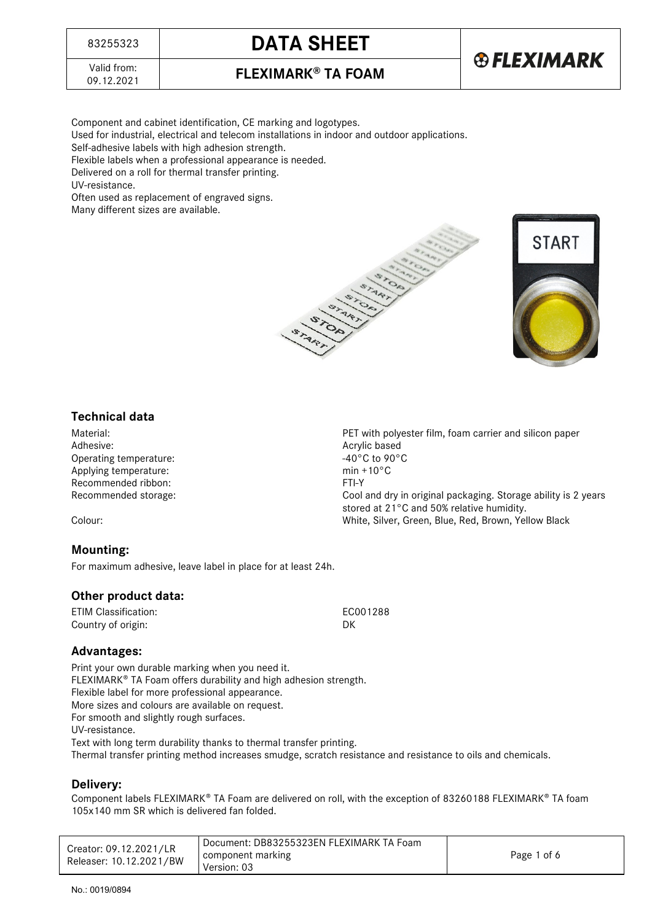

Valid from:<br>09.12.2021

09.12.2021 **FLEXIMARK® TA FOAM**

Component and cabinet identification, CE marking and logotypes.

Used for industrial, electrical and telecom installations in indoor and outdoor applications. Self-adhesive labels with high adhesion strength.

Flexible labels when a professional appearance is needed.

Delivered on a roll for thermal transfer printing.

UV-resistance.

Often used as replacement of engraved signs. Many different sizes are available.





### **Technical data**

Material: PET with polyester film, foam carrier and silicon paper Adhesive: <br>
Operating temperature:  $\overline{A} = 40^{\circ}C$  to 90°C Operating temperature: Applying temperature: min +10°C Recommended ribbon: FTI-Y

### **Mounting:**

For maximum adhesive, leave label in place for at least 24h.

### **Other product data:**

ETIM Classification: EC001288 Country of origin: DK

### **Advantages:**

Print your own durable marking when you need it. FLEXIMARK® TA Foam offers durability and high adhesion strength. Flexible label for more professional appearance. More sizes and colours are available on request. For smooth and slightly rough surfaces. UV-resistance. Text with long term durability thanks to thermal transfer printing. Thermal transfer printing method increases smudge, scratch resistance and resistance to oils and chemicals.

### **Delivery:**

Component labels FLEXIMARK® TA Foam are delivered on roll, with the exception of 83260188 FLEXIMARK® TA foam 105x140 mm SR which is delivered fan folded.

| Creator: 09.12.2021/LR<br>Releaser: 10.12.2021/BW | I Document: DB83255323EN FLEXIMARK TA Foam |             |
|---------------------------------------------------|--------------------------------------------|-------------|
|                                                   | component marking                          | Page 1 of 6 |
|                                                   | Version: 03                                |             |

Recommended storage: Cool and dry in original packaging. Storage ability is 2 years stored at 21°C and 50% relative humidity. Colour: White, Silver, Green, Blue, Red, Brown, Yellow Black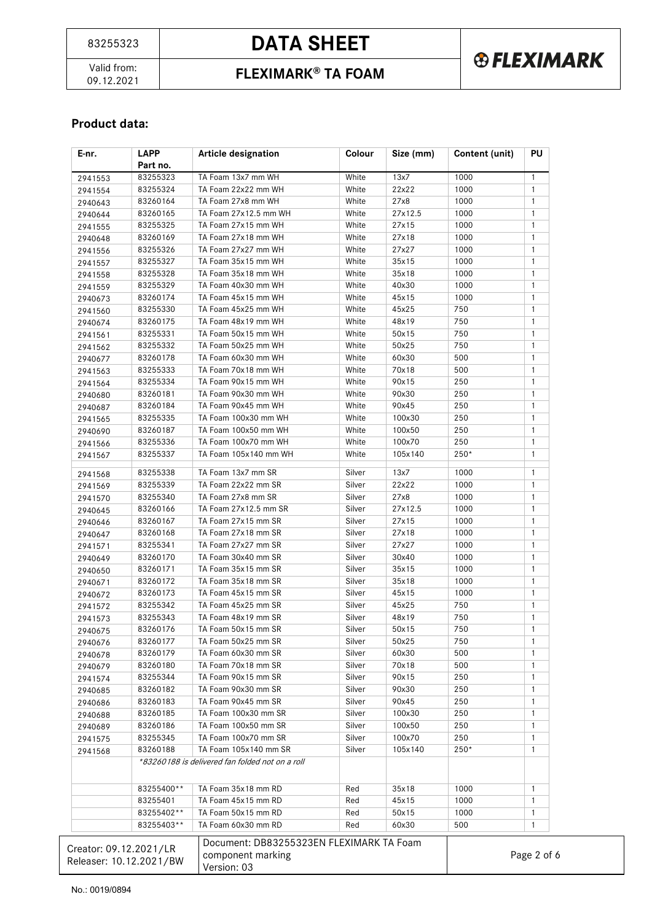Valid from:<br>09.12.2021

09.12.2021 **FLEXIMARK® TA FOAM**



### **Product data:**

|         | <b>LAPP</b><br>Part no.  | <b>Article designation</b>                      | Colour     | Size (mm)      | Content (unit) | PU                |
|---------|--------------------------|-------------------------------------------------|------------|----------------|----------------|-------------------|
| 2941553 | 83255323                 | TA Foam 13x7 mm WH                              | White      | 13x7           | 1000           | $\mathbf{1}$      |
| 2941554 | 83255324                 | TA Foam 22x22 mm WH                             | White      | 22x22          | 1000           | $\mathbf{1}$      |
| 2940643 | 83260164                 | TA Foam 27x8 mm WH                              | White      | 27x8           | 1000           | $\mathbf{1}$      |
| 2940644 | 83260165                 | TA Foam 27x12.5 mm WH                           | White      | 27x12.5        | 1000           | $\mathbf{1}$      |
| 2941555 | 83255325                 | TA Foam 27x15 mm WH                             | White      | 27x15          | 1000           | $\mathbf{1}$      |
| 2940648 | 83260169                 | TA Foam 27x18 mm WH                             | White      | 27x18          | 1000           | 1                 |
| 2941556 | 83255326                 | TA Foam 27x27 mm WH                             | White      | 27x27          | 1000           | $\mathbf{1}$      |
| 2941557 | 83255327                 | TA Foam 35x15 mm WH                             | White      | 35x15          | 1000           | $\mathbf{1}$      |
| 2941558 | 83255328                 | TA Foam 35x18 mm WH                             | White      | 35x18          | 1000           | $\mathbf{1}$      |
|         | 83255329                 | TA Foam 40x30 mm WH                             | White      | 40x30          | 1000           | $\mathbf{1}$      |
| 2941559 | 83260174                 | TA Foam 45x15 mm WH                             | White      | 45x15          | 1000           | $\mathbf{1}$      |
| 2940673 | 83255330                 | TA Foam 45x25 mm WH                             | White      | 45x25          | 750            | $\mathbf{1}$      |
| 2941560 | 83260175                 | TA Foam 48x19 mm WH                             | White      | 48x19          | 750            | 1                 |
| 2940674 |                          | TA Foam 50x15 mm WH                             |            |                | 750            | $\mathbf{1}$      |
| 2941561 | 83255331                 |                                                 | White      | 50x15          |                |                   |
| 2941562 | 83255332                 | TA Foam 50x25 mm WH                             | White      | 50x25          | 750            | $\mathbf{1}$      |
| 2940677 | 83260178                 | TA Foam 60x30 mm WH                             | White      | 60x30          | 500            | $\mathbf{1}$      |
| 2941563 | 83255333                 | TA Foam 70x18 mm WH                             | White      | 70x18          | 500            | $\mathbf{1}$      |
| 2941564 | 83255334                 | TA Foam 90x15 mm WH                             | White      | 90x15          | 250            | $\mathbf{1}$      |
| 2940680 | 83260181                 | TA Foam 90x30 mm WH                             | White      | 90x30          | 250            | $\mathbf{1}$      |
| 2940687 | 83260184                 | TA Foam 90x45 mm WH                             | White      | 90x45          | 250            | $\mathbf{1}$      |
| 2941565 | 83255335                 | TA Foam 100x30 mm WH                            | White      | 100x30         | 250            | $\mathbf{1}$      |
| 2940690 | 83260187                 | TA Foam 100x50 mm WH                            | White      | 100x50         | 250            | $\mathbf{1}$      |
| 2941566 | 83255336                 | TA Foam 100x70 mm WH                            | White      | 100x70         | 250            | $\mathbf{1}$      |
| 2941567 | 83255337                 | TA Foam 105x140 mm WH                           | White      | 105x140        | 250*           | 1                 |
| 2941568 | 83255338                 | TA Foam 13x7 mm SR                              | Silver     | 13x7           | 1000           | 1                 |
| 2941569 | 83255339                 | TA Foam 22x22 mm SR                             | Silver     | 22x22          | 1000           | $\mathbf{1}$      |
| 2941570 | 83255340                 | TA Foam 27x8 mm SR                              | Silver     | 27x8           | 1000           | $\mathbf{1}$      |
| 2940645 | 83260166                 | TA Foam 27x12.5 mm SR                           | Silver     | 27x12.5        | 1000           | $\mathbf{1}$      |
| 2940646 | 83260167                 | TA Foam 27x15 mm SR                             | Silver     | 27x15          | 1000           | $\mathbf{1}$      |
| 2940647 | 83260168                 | TA Foam 27x18 mm SR                             | Silver     | 27x18          | 1000           | 1                 |
| 2941571 | 83255341                 | TA Foam 27x27 mm SR                             | Silver     | 27x27          | 1000           | 1                 |
| 2940649 | 83260170                 | TA Foam 30x40 mm SR                             | Silver     | 30x40          | 1000           | $\mathbf{1}$      |
|         | 83260171                 | TA Foam 35x15 mm SR                             | Silver     | 35x15          | 1000           | $\mathbf{1}$      |
| 2940650 | 83260172                 | TA Foam 35x18 mm SR                             | Silver     | 35x18          | 1000           | 1                 |
| 2940671 | 83260173                 | TA Foam 45x15 mm SR                             | Silver     | 45x15          | 1000           | $\mathbf{1}$      |
| 2940672 | 83255342                 | TA Foam 45x25 mm SR                             | Silver     | 45x25          | 750            | $\mathbf{1}$      |
| 2941572 | 83255343                 | TA Foam 48x19 mm SR                             | Silver     | 48x19          | 750            | 1                 |
| 2941573 |                          | TA Foam 50x15 mm SR                             |            |                |                | $\mathbf{1}$      |
| 2940675 | 83260176                 |                                                 | Silver     | 50x15          | 750            |                   |
| 2940676 | 83260177<br>83260179     | TA Foam 50x25 mm SR                             | Silver     | 50x25          | 750            | 1                 |
| 2940678 |                          | TA Foam 60x30 mm SR                             | Silver     | 60x30          | 500            | 1                 |
| 2940679 | 83260180                 | TA Foam 70x18 mm SR                             | Silver     | 70x18          | 500            | $\mathbf{1}$      |
| 2941574 | 83255344                 | TA Foam 90x15 mm SR                             | Silver     | 90x15          | 250            | $\mathbf{1}$      |
| 2940685 | 83260182                 | TA Foam 90x30 mm SR                             | Silver     | 90x30          | 250            | 1                 |
| 2940686 | 83260183                 | TA Foam 90x45 mm SR                             | Silver     | 90x45          | 250            | 1                 |
| 2940688 | 83260185                 | TA Foam 100x30 mm SR                            | Silver     | 100x30         | 250            | $\mathbf{1}$      |
| 2940689 | 83260186                 | TA Foam 100x50 mm SR                            | Silver     | 100x50         | 250            | 1                 |
| 2941575 | 83255345                 | TA Foam 100x70 mm SR                            | Silver     | 100x70         | 250            | $\mathbf{1}$      |
| 2941568 | 83260188                 | TA Foam 105x140 mm SR                           | Silver     | 105x140        | 250*           | 1                 |
|         |                          | *83260188 is delivered fan folded not on a roll |            |                |                |                   |
|         |                          |                                                 |            |                |                |                   |
|         |                          | TA Foam 35x18 mm RD                             | Red        | 35x18          | 1000           | $\mathbf{1}$      |
|         | 83255400**               |                                                 |            |                |                |                   |
|         | 83255401                 | TA Foam 45x15 mm RD                             | Red        | 45x15          | 1000           | 1                 |
|         | 83255402**<br>83255403** | TA Foam 50x15 mm RD<br>TA Foam 60x30 mm RD      | Red<br>Red | 50x15<br>60x30 | 1000<br>500    | $\mathbf{1}$<br>1 |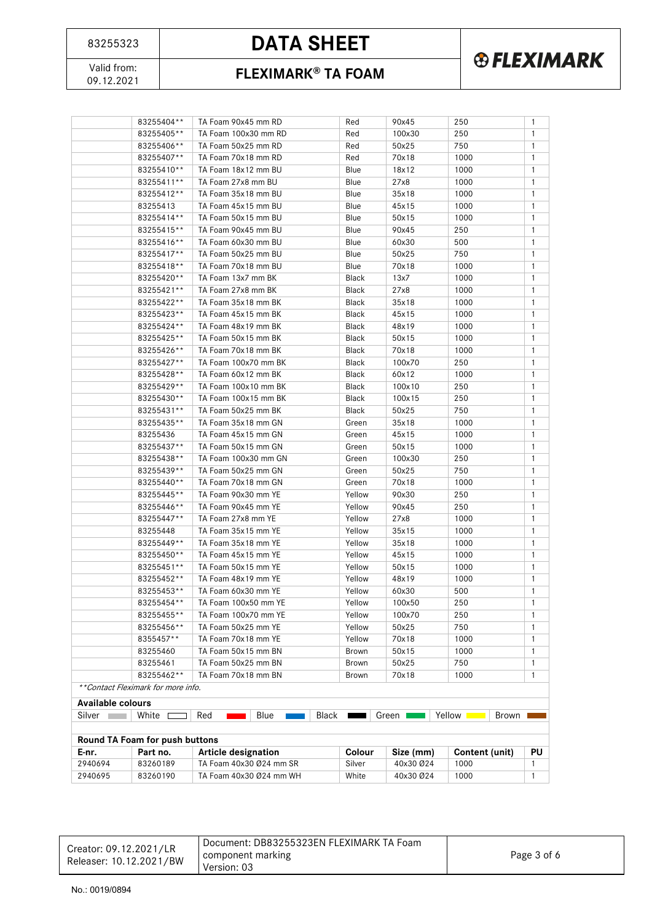Valid from:<br>09.12.2021

## 09.12.2021 **FLEXIMARK® TA FOAM**

## **® FLEXIMARK**

|                   | 83255404**                         | TA Foam 90x45 mm RD                        | Red        | 90x45           | 250                        | $\mathbf{1}$                 |
|-------------------|------------------------------------|--------------------------------------------|------------|-----------------|----------------------------|------------------------------|
|                   | 83255405**                         | TA Foam 100x30 mm RD                       |            |                 |                            | $\mathbf{1}$                 |
|                   | 83255406**                         | TA Foam 50x25 mm RD                        | Red<br>Red | 100x30<br>50x25 | 250<br>750                 | $\mathbf{1}$                 |
|                   | 83255407**                         | TA Foam 70x18 mm RD                        |            | 70x18           | 1000                       | $\mathbf{1}$                 |
|                   |                                    | TA Foam 18x12 mm BU                        | Red        |                 |                            |                              |
|                   | 83255410**                         |                                            | Blue       | 18x12           | 1000                       | $\mathbf{1}$                 |
|                   | 83255411**                         | TA Foam 27x8 mm BU                         | Blue       | 27x8            | 1000                       | $\mathbf{1}$                 |
|                   | 83255412**                         | TA Foam 35x18 mm BU                        | Blue       | 35x18           | 1000                       | $\mathbf{1}$                 |
|                   | 83255413                           | TA Foam 45x15 mm BU                        | Blue       | 45x15           | 1000                       | $\mathbf{1}$                 |
|                   | 83255414**                         | TA Foam 50x15 mm BU<br>TA Foam 90x45 mm BU | Blue       | 50x15           | 1000<br>250                | $\mathbf{1}$<br>$\mathbf{1}$ |
|                   | 83255415**                         | TA Foam 60x30 mm BU                        | Blue       | 90x45           |                            |                              |
|                   | 83255416**<br>83255417**           |                                            | Blue       | 60x30           | 500                        | $\mathbf{1}$<br>$\mathbf{1}$ |
|                   | 83255418**                         | TA Foam 50x25 mm BU<br>TA Foam 70x18 mm BU | Blue       | 50x25<br>70x18  | 750<br>1000                | $\mathbf{1}$                 |
|                   |                                    |                                            | Blue       |                 |                            |                              |
|                   | 83255420**                         | TA Foam 13x7 mm BK                         | Black      | 13x7            | 1000                       | $\mathbf{1}$                 |
|                   | 83255421**                         | TA Foam 27x8 mm BK                         | Black      | 27x8            | 1000                       | $\mathbf{1}$                 |
|                   | 83255422**                         | TA Foam 35x18 mm BK                        | Black      | 35x18           | 1000                       | $\mathbf{1}$                 |
|                   | 83255423**                         | TA Foam 45x15 mm BK                        | Black      | 45x15           | 1000                       | $\mathbf{1}$                 |
|                   | 83255424**                         | TA Foam 48x19 mm BK                        | Black      | 48x19           | 1000                       | $\mathbf{1}$                 |
|                   | 83255425**                         | TA Foam 50x15 mm BK                        | Black      | 50x15           | 1000                       | $\mathbf{1}$                 |
|                   | 83255426**                         | TA Foam 70x18 mm BK                        | Black      | 70x18           | 1000                       | $\mathbf{1}$                 |
|                   | 83255427**                         | TA Foam 100x70 mm BK                       | Black      | 100x70          | 250                        | $\mathbf{1}$                 |
|                   | 83255428**                         | TA Foam 60x12 mm BK                        | Black      | 60x12           | 1000                       | $\mathbf{1}$                 |
|                   | 83255429**                         | TA Foam 100x10 mm BK                       | Black      | 100x10          | 250                        | $\mathbf{1}$                 |
|                   | 83255430**                         | TA Foam 100x15 mm BK                       | Black      | 100x15          | 250                        | $\mathbf{1}$                 |
|                   | 83255431**                         | TA Foam 50x25 mm BK                        | Black      | 50x25           | 750                        | $\mathbf{1}$                 |
|                   | 83255435**                         | TA Foam 35x18 mm GN                        | Green      | 35x18           | 1000                       | $\mathbf{1}$                 |
|                   | 83255436                           | TA Foam 45x15 mm GN                        | Green      | 45x15           | 1000                       | $\mathbf{1}$                 |
|                   | 83255437**                         | TA Foam 50x15 mm GN                        | Green      | 50x15           | 1000                       | $\mathbf{1}$                 |
|                   | 83255438**                         | TA Foam 100x30 mm GN                       | Green      | 100x30          | 250                        | $\mathbf{1}$                 |
|                   | 83255439**                         | TA Foam 50x25 mm GN                        | Green      | 50x25           | 750                        | $\mathbf{1}$                 |
|                   | 83255440**                         | TA Foam 70x18 mm GN                        | Green      | 70x18           | 1000                       | $\mathbf{1}$                 |
|                   | 83255445**                         | TA Foam 90x30 mm YE                        | Yellow     | 90x30           | 250                        | $\mathbf{1}$                 |
|                   | 83255446**                         | TA Foam 90x45 mm YE                        | Yellow     | 90x45           | 250                        | $\mathbf{1}$                 |
|                   | 83255447**                         | TA Foam 27x8 mm YE                         | Yellow     | 27x8            | 1000                       | $\mathbf{1}$                 |
|                   | 83255448                           | TA Foam 35x15 mm YE                        | Yellow     | 35x15           | 1000                       | $\mathbf{1}$                 |
|                   | 83255449**                         | TA Foam 35x18 mm YE                        | Yellow     | 35x18           | 1000                       | $\mathbf{1}$                 |
|                   | 83255450**                         | TA Foam 45x15 mm YE                        | Yellow     | 45x15           | 1000                       | $\mathbf{1}$                 |
|                   | 83255451**                         | TA Foam 50x15 mm YE                        | Yellow     | 50x15           | 1000                       | $\mathbf{1}$                 |
|                   | 83255452**                         | TA Foam 48x19 mm YE                        | Yellow     | 48x19           | 1000                       | $\mathbf{1}$                 |
|                   | 83255453**                         | TA Foam 60x30 mm YE                        | Yellow     | 60x30           | 500                        | $\mathbf{1}$                 |
|                   | 83255454**                         | TA Foam 100x50 mm YE                       | Yellow     | 100x50          | 250                        | 1                            |
|                   | 83255455**                         | TA Foam 100x70 mm YE                       | Yellow     | 100x70          | 250                        | $\mathbf{1}$                 |
|                   | 83255456**                         | TA Foam 50x25 mm YE                        | Yellow     | 50x25           | 750                        | 1                            |
|                   | 8355457**                          | TA Foam 70x18 mm YE                        | Yellow     | 70x18           | 1000                       | $\mathbf{1}$                 |
|                   | 83255460                           | TA Foam 50x15 mm BN                        | Brown      | 50x15           | 1000                       | $\mathbf{1}$                 |
|                   | 83255461                           | TA Foam 50x25 mm BN                        | Brown      | 50x25           | 750                        | $\mathbf{1}$                 |
|                   | 83255462**                         | TA Foam 70x18 mm BN                        | Brown      | 70x18           | 1000                       | $\mathbf{1}$                 |
|                   | **Contact Fleximark for more info. |                                            |            |                 |                            |                              |
| Available colours |                                    |                                            |            |                 |                            |                              |
| Silver L          | White I                            | Blue<br>Black<br>Red                       |            | Green           | Yellow <b>Way</b><br>Brown |                              |
|                   |                                    |                                            |            |                 |                            |                              |
|                   | Round TA Foam for push buttons     |                                            |            |                 |                            |                              |
| E-nr.             | Part no.                           | <b>Article designation</b>                 | Colour     | Size (mm)       | Content (unit)             | PU                           |
| 2940694           | 83260189                           | TA Foam 40x30 Ø24 mm SR                    | Silver     | 40x30 Ø24       | 1000                       | $\mathbf{1}$                 |
| 2940695           | 83260190                           | TA Foam 40x30 Ø24 mm WH                    | White      | 40x30 Ø24       | 1000                       | $\mathbf{1}$                 |
|                   |                                    |                                            |            |                 |                            |                              |

| Creator: 09.12.2021/LR  | Document: DB83255323EN FLEXIMARK TA Foam |             |
|-------------------------|------------------------------------------|-------------|
| Releaser: 10.12.2021/BW | component marking                        | Page 3 of 6 |
|                         | Version: 03                              |             |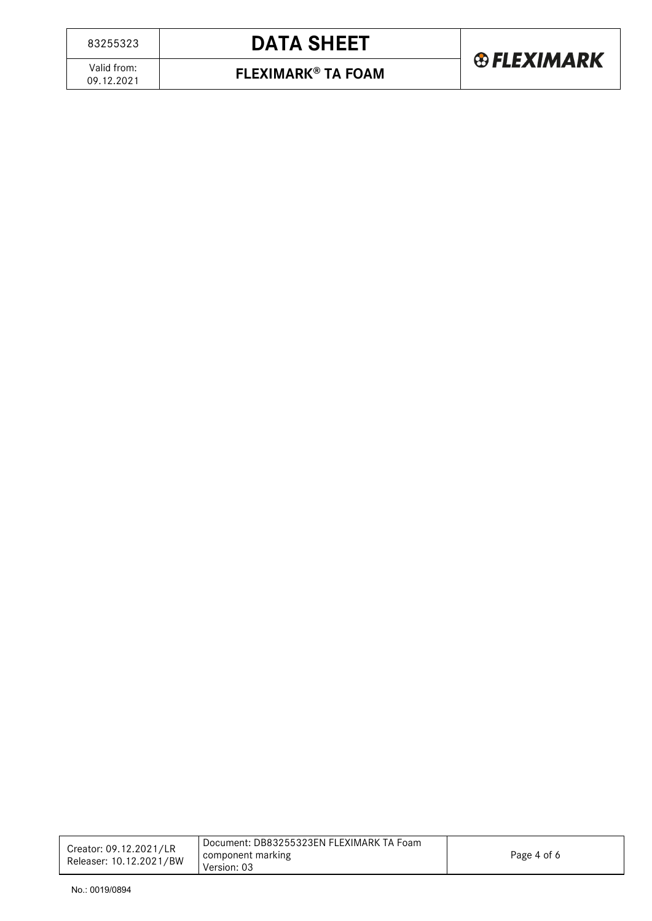Valid from:<br>09.12.2021

## 09.12.2021 **FLEXIMARK® TA FOAM**



| Creator: 09.12.2021/LR  | Document: DB83255323EN FLEXIMARK TA Foam |             |
|-------------------------|------------------------------------------|-------------|
| Releaser: 10.12.2021/BW | component marking                        | Page 4 of 6 |
|                         | Version: 03                              |             |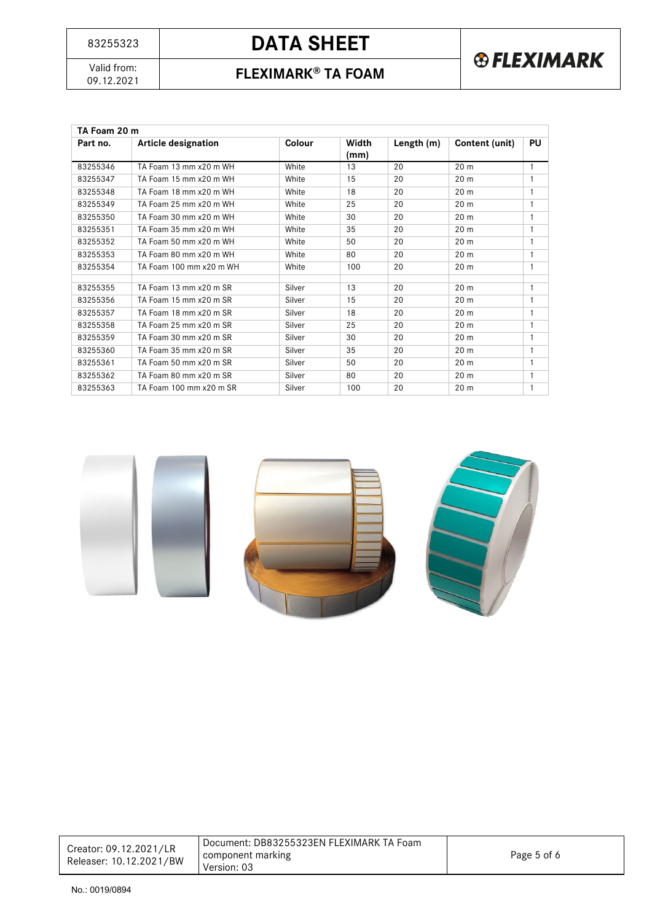Valid from:<br>09.12.2021

09.12.2021 **FLEXIMARK® TA FOAM**

**® FLEXIMARK** 

| TA Foam 20 m |                         |        |       |            |                 |              |
|--------------|-------------------------|--------|-------|------------|-----------------|--------------|
| Part no.     | Article designation     | Colour | Width | Length (m) | Content (unit)  | PU           |
|              |                         |        | (mm)  |            |                 |              |
| 83255346     | TA Foam 13 mm x20 m WH  | White  | 13    | 20         | 20 <sub>m</sub> | 1            |
| 83255347     | TA Foam 15 mm x20 m WH  | White  | 15    | 20         | 20 <sub>m</sub> |              |
| 83255348     | TA Foam 18 mm x20 m WH  | White  | 18    | 20         | 20 <sub>m</sub> | 1            |
| 83255349     | TA Foam 25 mm x20 m WH  | White  | 25    | 20         | 20 <sub>m</sub> |              |
| 83255350     | TA Foam 30 mm x20 m WH  | White  | 30    | 20         | 20 <sub>m</sub> | 1            |
| 83255351     | TA Foam 35 mm x20 m WH  | White  | 35    | 20         | 20 <sub>m</sub> |              |
| 83255352     | TA Foam 50 mm x20 m WH  | White  | 50    | 20         | 20 <sub>m</sub> | 1            |
| 83255353     | TA Foam 80 mm x20 m WH  | White  | 80    | 20         | 20 <sub>m</sub> | $\mathbf{1}$ |
| 83255354     | TA Foam 100 mm x20 m WH | White  | 100   | 20         | 20 m            | $\mathbf{1}$ |
|              |                         |        |       |            |                 |              |
| 83255355     | TA Foam 13 mm x20 m SR  | Silver | 13    | 20         | 20 <sub>m</sub> | 1            |
| 83255356     | TA Foam 15 mm x20 m SR  | Silver | 15    | 20         | 20 <sub>m</sub> |              |
| 83255357     | TA Foam 18 mm x20 m SR  | Silver | 18    | 20         | 20 <sub>m</sub> | 1            |
| 83255358     | TA Foam 25 mm x20 m SR  | Silver | 25    | 20         | 20 m            | $\mathbf{1}$ |
| 83255359     | TA Foam 30 mm x20 m SR  | Silver | 30    | 20         | 20 <sub>m</sub> |              |
| 83255360     | TA Foam 35 mm x20 m SR  | Silver | 35    | 20         | 20 <sub>m</sub> | 1            |
| 83255361     | TA Foam 50 mm x20 m SR  | Silver | 50    | 20         | 20 <sub>m</sub> | 1            |
| 83255362     | TA Foam 80 mm x20 m SR  | Silver | 80    | 20         | 20 <sub>m</sub> | 1            |
| 83255363     | TA Foam 100 mm x20 m SR | Silver | 100   | 20         | 20 m            | 1            |



| Creator: 09.12.2021/LR  | I Document: DB83255323EN FLEXIMARK TA Foam |             |
|-------------------------|--------------------------------------------|-------------|
| Releaser: 10.12.2021/BW | component marking                          | Page 5 of 6 |
|                         | Version: 03                                |             |